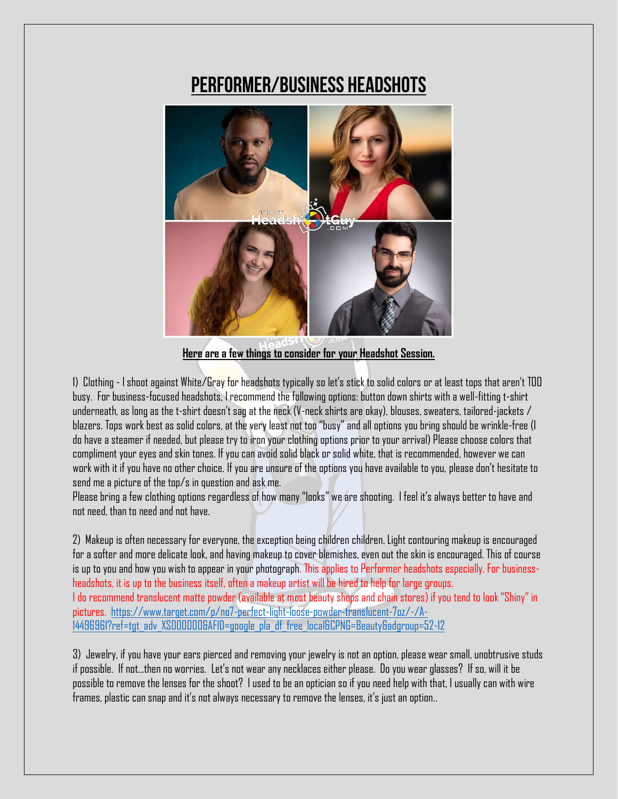## **Performer/Business Headshots**



**Here are a few things to consider for your Headshot Session.**

1) Clothing - I shoot against White/Gray for headshots typically so let's stick to solid colors or at least tops that aren't TOO busy. For business-focused headshots, I recommend the following options: button down shirts with a well-fitting t-shirt underneath, as long as the t-shirt doesn't sag at the neck (V-neck shirts are okay), blouses, sweaters, tailored-jackets / blazers. Tops work best as solid colors, at the very least not too "busy" and all options you bring should be wrinkle-free (I do have a steamer if needed, but please try to iron your clothing options prior to your arrival) Please choose colors that compliment your eyes and skin tones. If you can avoid solid black or solid white, that is recommended, however we can work with it if you have no other choice. If you are unsure of the options you have available to you, please don't hesitate to send me a picture of the top/s in question and ask me.

Please bring a few clothing options regardless of how many "looks" we are shooting. I feel it's always better to have and not need, than to need and not have.

2) Makeup is often necessary for everyone, the exception being children children. Light contouring makeup is encouraged for a softer and more delicate look, and having makeup to cover blemishes, even out the skin is encouraged. This of course is up to you and how you wish to appear in your photograph. This applies to Performer headshots especially. For businessheadshots, it is up to the business itself, often a makeup artist will be hired to help for large groups. I do recommend translucent matte powder (available at most beauty shops and chain stores) if you tend to look "Shiny" in pictures. [https://www.target.com/p/no7-perfect-light-loose-powder-translucent-7oz/-/A-](https://www.target.com/p/no7-perfect-light-loose-powder-translucent-7oz/-/A-14496961?ref=tgt_adv_XS000000&AFID=google_pla_df_free_local&CPNG=Beauty&adgroup=52-12)[14496961?ref=tgt\\_adv\\_XS000000&AFID=google\\_pla\\_df\\_free\\_local&CPNG=Beauty&adgroup=52-12](https://www.target.com/p/no7-perfect-light-loose-powder-translucent-7oz/-/A-14496961?ref=tgt_adv_XS000000&AFID=google_pla_df_free_local&CPNG=Beauty&adgroup=52-12)

3) Jewelry, if you have your ears pierced and removing your jewelry is not an option, please wear small, unobtrusive studs if possible. If not...then no worries. Let's not wear any necklaces either please. Do you wear glasses? If so, will it be possible to remove the lenses for the shoot? I used to be an optician so if you need help with that, I usually can with wire frames, plastic can snap and it's not always necessary to remove the lenses, it's just an option..